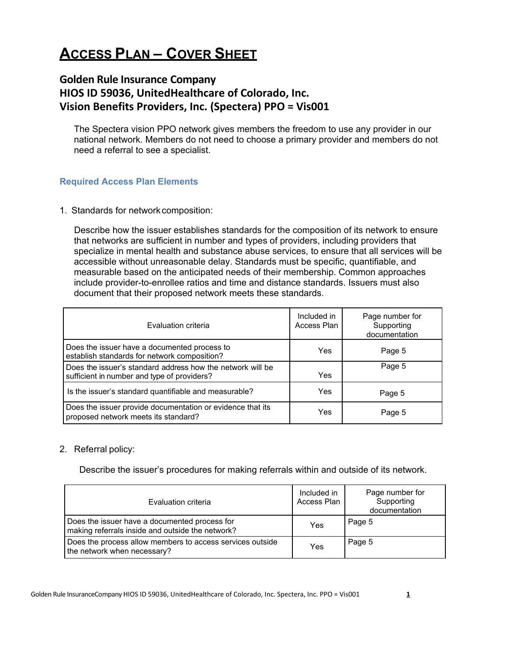# **ACCESS PLAN – COVER SHEET**

# **Golden Rule Insurance Company HIOS ID 59036, UnitedHealthcare of Colorado, Inc. Vision Benefits Providers, Inc. (Spectera) PPO = Vis001**

The Spectera vision PPO network gives members the freedom to use any provider in our national network. Members do not need to choose a primary provider and members do not need a referral to see a specialist.

### **Required Access Plan Elements**

1. Standards for network composition:

Describe how the issuer establishes standards for the composition of its network to ensure that networks are sufficient in number and types of providers, including providers that specialize in mental health and substance abuse services, to ensure that all services will be accessible without unreasonable delay. Standards must be specific, quantifiable, and measurable based on the anticipated needs of their membership. Common approaches include provider-to-enrollee ratios and time and distance standards. Issuers must also document that their proposed network meets these standards.

| Evaluation criteria                                                                                       | Included in<br>Access Plan | Page number for<br>Supporting<br>documentation |
|-----------------------------------------------------------------------------------------------------------|----------------------------|------------------------------------------------|
| Does the issuer have a documented process to<br>establish standards for network composition?              | Yes                        | Page 5                                         |
| Does the issuer's standard address how the network will be<br>sufficient in number and type of providers? | Yes                        | Page 5                                         |
| Is the issuer's standard quantifiable and measurable?                                                     | Yes                        | Page 5                                         |
| Does the issuer provide documentation or evidence that its<br>proposed network meets its standard?        | Yes                        | Page 5                                         |

### 2. Referral policy:

Describe the issuer's procedures for making referrals within and outside of its network.

| Evaluation criteria                                                                               | Included in<br>Access Plan | Page number for<br>Supporting<br>documentation |
|---------------------------------------------------------------------------------------------------|----------------------------|------------------------------------------------|
| Does the issuer have a documented process for<br>making referrals inside and outside the network? | Yes                        | Page 5                                         |
| Does the process allow members to access services outside<br>the network when necessary?          | Yes                        | Page 5                                         |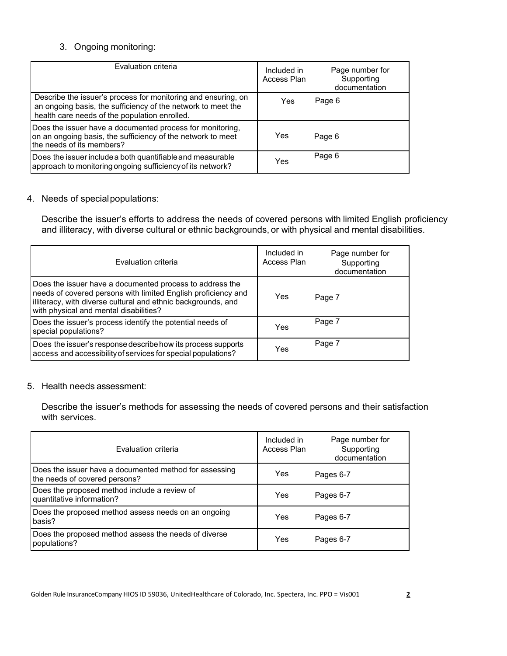## 3. Ongoing monitoring:

| Evaluation criteria                                                                                                                                                            | Included in<br>Access Plan | Page number for<br>Supporting<br>documentation |
|--------------------------------------------------------------------------------------------------------------------------------------------------------------------------------|----------------------------|------------------------------------------------|
| Describe the issuer's process for monitoring and ensuring, on<br>an ongoing basis, the sufficiency of the network to meet the<br>health care needs of the population enrolled. | Yes                        | Page 6                                         |
| Does the issuer have a documented process for monitoring,<br>on an ongoing basis, the sufficiency of the network to meet<br>the needs of its members?                          | Yes                        | Page 6                                         |
| Does the issuer include a both quantifiable and measurable<br>approach to monitoring ongoing sufficiency of its network?                                                       | Yes                        | Page 6                                         |

### 4. Needs of specialpopulations:

Describe the issuer's efforts to address the needs of covered persons with limited English proficiency and illiteracy, with diverse cultural or ethnic backgrounds, or with physical and mental disabilities.

| Evaluation criteria                                                                                                                                                                                                                  | Included in<br>Access Plan | Page number for<br>Supporting<br>documentation |
|--------------------------------------------------------------------------------------------------------------------------------------------------------------------------------------------------------------------------------------|----------------------------|------------------------------------------------|
| Does the issuer have a documented process to address the<br>needs of covered persons with limited English proficiency and<br>illiteracy, with diverse cultural and ethnic backgrounds, and<br>with physical and mental disabilities? | Yes                        | Page 7                                         |
| Does the issuer's process identify the potential needs of<br>special populations?                                                                                                                                                    | Yes                        | Page 7                                         |
| Does the issuer's response describe how its process supports<br>access and accessibility of services for special populations?                                                                                                        | Yes                        | Page 7                                         |

#### 5. Health needs assessment:

Describe the issuer's methods for assessing the needs of covered persons and their satisfaction with services.

| Evaluation criteria                                                                     | Included in<br>Access Plan | Page number for<br>Supporting<br>documentation |
|-----------------------------------------------------------------------------------------|----------------------------|------------------------------------------------|
| Does the issuer have a documented method for assessing<br>the needs of covered persons? | Yes                        | Pages 6-7                                      |
| Does the proposed method include a review of<br>quantitative information?               | Yes                        | Pages 6-7                                      |
| Does the proposed method assess needs on an ongoing<br>basis?                           | Yes                        | Pages 6-7                                      |
| Does the proposed method assess the needs of diverse<br>populations?                    | Yes                        | Pages 6-7                                      |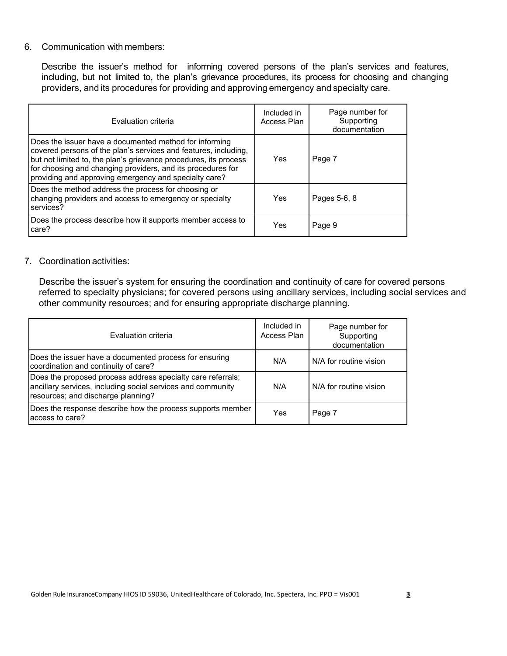### 6. Communication with members:

Describe the issuer's method for informing covered persons of the plan's services and features, including, but not limited to, the plan's grievance procedures, its process for choosing and changing providers, and its procedures for providing and approving emergency and specialty care.

| Evaluation criteria                                                                                                                                                                                                                                                                                                   | Included in<br>Access Plan | Page number for<br>Supporting<br>documentation |
|-----------------------------------------------------------------------------------------------------------------------------------------------------------------------------------------------------------------------------------------------------------------------------------------------------------------------|----------------------------|------------------------------------------------|
| Does the issuer have a documented method for informing<br>covered persons of the plan's services and features, including,<br>but not limited to, the plan's grievance procedures, its process<br>for choosing and changing providers, and its procedures for<br>providing and approving emergency and specialty care? | Yes                        | Page 7                                         |
| Does the method address the process for choosing or<br>changing providers and access to emergency or specialty<br>services?                                                                                                                                                                                           | Yes                        | Pages 5-6, 8                                   |
| Does the process describe how it supports member access to<br>care?                                                                                                                                                                                                                                                   | Yes                        | Page 9                                         |

### 7. Coordination activities:

Describe the issuer's system for ensuring the coordination and continuity of care for covered persons referred to specialty physicians; for covered persons using ancillary services, including social services and other community resources; and for ensuring appropriate discharge planning.

| Evaluation criteria                                                                                                                                              | Included in<br>Access Plan | Page number for<br>Supporting<br>documentation |
|------------------------------------------------------------------------------------------------------------------------------------------------------------------|----------------------------|------------------------------------------------|
| Does the issuer have a documented process for ensuring<br>coordination and continuity of care?                                                                   | N/A                        | N/A for routine vision                         |
| Does the proposed process address specialty care referrals;<br>ancillary services, including social services and community<br>resources; and discharge planning? | N/A                        | N/A for routine vision                         |
| Does the response describe how the process supports member<br>access to care?                                                                                    | Yes                        | Page 7                                         |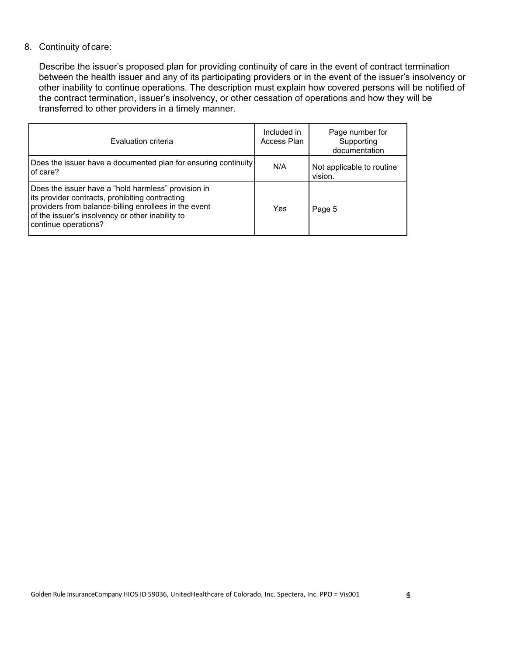### 8. Continuity of care:

Describe the issuer's proposed plan for providing continuity of care in the event of contract termination between the health issuer and any of its participating providers or in the event of the issuer's insolvency or other inability to continue operations. The description must explain how covered persons will be notified of the contract termination, issuer's insolvency, or other cessation of operations and how they will be transferred to other providers in a timely manner.

| Evaluation criteria                                                                                                                                                                                                                         | Included in<br>Access Plan | Page number for<br>Supporting<br>documentation |
|---------------------------------------------------------------------------------------------------------------------------------------------------------------------------------------------------------------------------------------------|----------------------------|------------------------------------------------|
| Does the issuer have a documented plan for ensuring continuity<br>of care?                                                                                                                                                                  | N/A                        | Not applicable to routine<br>vision.           |
| Does the issuer have a "hold harmless" provision in<br>its provider contracts, prohibiting contracting<br>providers from balance-billing enrollees in the event<br>of the issuer's insolvency or other inability to<br>continue operations? | Yes                        | Page 5                                         |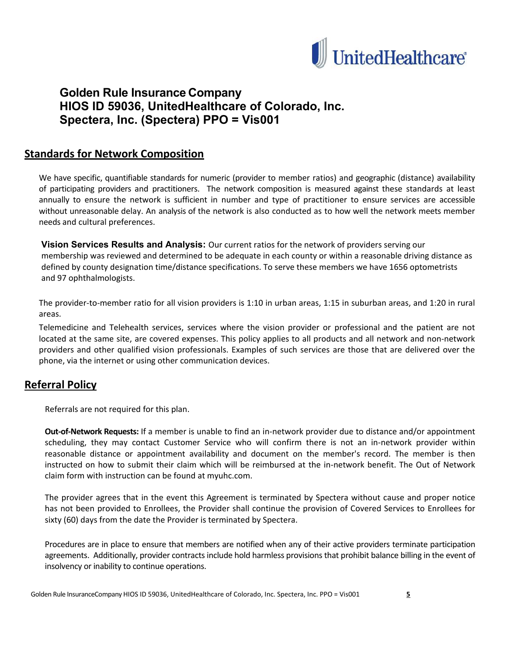

# **Golden Rule Insurance Company HIOS ID 59036, UnitedHealthcare of Colorado, Inc. Spectera, Inc. (Spectera) PPO = Vis001**

# **Standards for Network Composition**

We have specific, quantifiable standards for numeric (provider to member ratios) and geographic (distance) availability of participating providers and practitioners. The network composition is measured against these standards at least annually to ensure the network is sufficient in number and type of practitioner to ensure services are accessible without unreasonable delay. An analysis of the network is also conducted as to how well the network meets member needs and cultural preferences.

**Vision Services Results and Analysis:** Our current ratios for the network of providers serving our membership was reviewed and determined to be adequate in each county or within a reasonable driving distance as defined by county designation time/distance specifications. To serve these members we have 1656 optometrists and 97 ophthalmologists.

The provider-to-member ratio for all vision providers is 1:10 in urban areas, 1:15 in suburban areas, and 1:20 in rural areas.

Telemedicine and Telehealth services, services where the vision provider or professional and the patient are not located at the same site, are covered expenses. This policy applies to all products and all network and non-network providers and other qualified vision professionals. Examples of such services are those that are delivered over the phone, via the internet or using other communication devices.

# **Referral Policy**

Referrals are not required for this plan.

**Out-of-Network Requests:** If a member is unable to find an in-network provider due to distance and/or appointment scheduling, they may contact Customer Service who will confirm there is not an in-network provider within reasonable distance or appointment availability and document on the member's record. The member is then instructed on how to submit their claim which will be reimbursed at the in-network benefit. The Out of Network claim form with instruction can be found at myuhc.com.

The provider agrees that in the event this Agreement is terminated by Spectera without cause and proper notice has not been provided to Enrollees, the Provider shall continue the provision of Covered Services to Enrollees for sixty (60) days from the date the Provider is terminated by Spectera.

Procedures are in place to ensure that members are notified when any of their active providers terminate participation agreements. Additionally, provider contracts include hold harmless provisions that prohibit balance billing in the event of insolvency or inability to continue operations.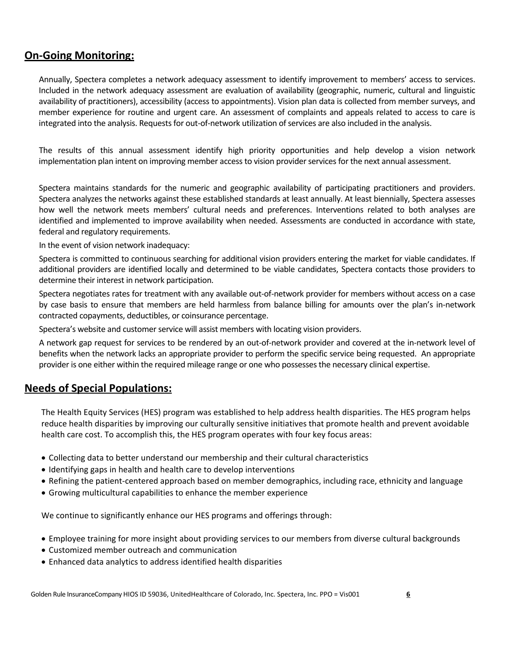# **On-Going Monitoring:**

Annually, Spectera completes a network adequacy assessment to identify improvement to members' access to services. Included in the network adequacy assessment are evaluation of availability (geographic, numeric, cultural and linguistic availability of practitioners), accessibility (access to appointments). Vision plan data is collected from member surveys, and member experience for routine and urgent care. An assessment of complaints and appeals related to access to care is integrated into the analysis. Requests for out-of-network utilization of services are also included in the analysis.

The results of this annual assessment identify high priority opportunities and help develop a vision network implementation plan intent on improving member access to vision provider services for the next annual assessment.

Spectera maintains standards for the numeric and geographic availability of participating practitioners and providers. Spectera analyzes the networks against these established standards at least annually. At least biennially, Spectera assesses how well the network meets members' cultural needs and preferences. Interventions related to both analyses are identified and implemented to improve availability when needed. Assessments are conducted in accordance with state, federal and regulatory requirements.

In the event of vision network inadequacy:

Spectera is committed to continuous searching for additional vision providers entering the market for viable candidates. If additional providers are identified locally and determined to be viable candidates, Spectera contacts those providers to determine their interest in network participation.

Spectera negotiates rates for treatment with any available out-of-network provider for members without access on a case by case basis to ensure that members are held harmless from balance billing for amounts over the plan's in-network contracted copayments, deductibles, or coinsurance percentage.

Spectera's website and customer service will assist members with locating vision providers.

A network gap request for services to be rendered by an out-of-network provider and covered at the in-network level of benefits when the network lacks an appropriate provider to perform the specific service being requested. An appropriate provider is one either within the required mileage range or one who possesses the necessary clinical expertise.

# **Needs of Special Populations:**

The Health Equity Services (HES) program was established to help address health disparities. The HES program helps reduce health disparities by improving our culturally sensitive initiatives that promote health and prevent avoidable health care cost. To accomplish this, the HES program operates with four key focus areas:

- Collecting data to better understand our membership and their cultural characteristics
- Identifying gaps in health and health care to develop interventions
- Refining the patient-centered approach based on member demographics, including race, ethnicity and language
- Growing multicultural capabilities to enhance the member experience

We continue to significantly enhance our HES programs and offerings through:

- Employee training for more insight about providing services to our members from diverse cultural backgrounds
- Customized member outreach and communication
- Enhanced data analytics to address identified health disparities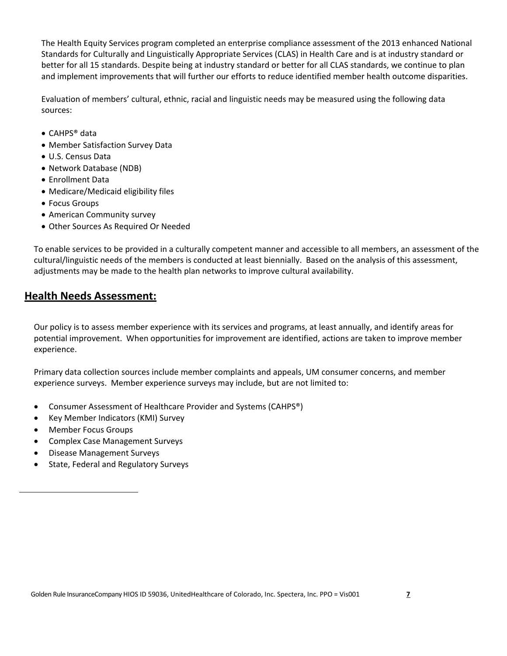The Health Equity Services program completed an enterprise compliance assessment of the 2013 enhanced National Standards for Culturally and Linguistically Appropriate Services (CLAS) in Health Care and is at industry standard or better for all 15 standards. Despite being at industry standard or better for all CLAS standards, we continue to plan and implement improvements that will further our efforts to reduce identified member health outcome disparities.

Evaluation of members' cultural, ethnic, racial and linguistic needs may be measured using the following data sources:

- CAHPS® data
- Member Satisfaction Survey Data
- U.S. Census Data
- Network Database (NDB)
- Enrollment Data
- Medicare/Medicaid eligibility files
- Focus Groups
- American Community survey
- Other Sources As Required Or Needed

To enable services to be provided in a culturally competent manner and accessible to all members, an assessment of the cultural/linguistic needs of the members is conducted at least biennially. Based on the analysis of this assessment, adjustments may be made to the health plan networks to improve cultural availability.

# **Health Needs Assessment:**

Our policy is to assess member experience with its services and programs, at least annually, and identify areas for potential improvement. When opportunities for improvement are identified, actions are taken to improve member experience.

Primary data collection sources include member complaints and appeals, UM consumer concerns, and member experience surveys. Member experience surveys may include, but are not limited to:

- Consumer Assessment of Healthcare Provider and Systems (CAHPS®)
- Key Member Indicators (KMI) Survey
- Member Focus Groups
- Complex Case Management Surveys
- Disease Management Surveys
- State, Federal and Regulatory Surveys